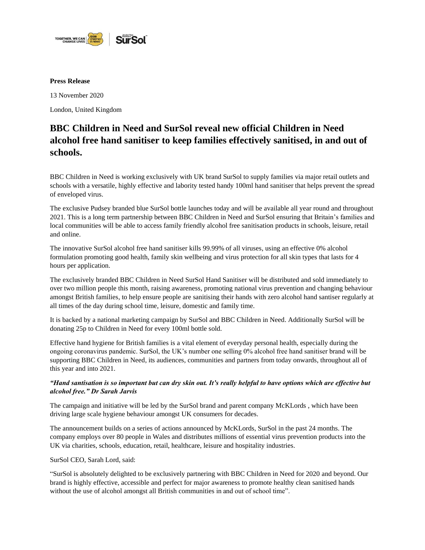

## **Press Release**

13 November 2020

London, United Kingdom

# **BBC Children in Need and SurSol reveal new official Children in Need alcohol free hand sanitiser to keep families effectively sanitised, in and out of schools.**

BBC Children in Need is working exclusively with UK brand SurSol to supply families via major retail outlets and schools with a versatile, highly effective and labority tested handy 100ml hand sanitiser that helps prevent the spread of enveloped virus.

The exclusive Pudsey branded blue SurSol bottle launches today and will be available all year round and throughout 2021. This is a long term partnership between BBC Children in Need and SurSol ensuring that Britain's families and local communities will be able to access family friendly alcohol free sanitisation products in schools, leisure, retail and online.

The innovative SurSol alcohol free hand sanitiser kills 99.99% of all viruses, using an effective 0% alcohol formulation promoting good health, family skin wellbeing and virus protection for all skin types that lasts for 4 hours per application.

The exclusively branded BBC Children in Need SurSol Hand Sanitiser will be distributed and sold immediately to over two million people this month, raising awareness, promoting national virus prevention and changing behaviour amongst British families, to help ensure people are sanitising their hands with zero alcohol hand santiser regularly at all times of the day during school time, leisure, domestic and family time.

It is backed by a national marketing campaign by SurSol and BBC Children in Need. Additionally SurSol will be donating 25p to Children in Need for every 100ml bottle sold.

Effective hand hygiene for British families is a vital element of everyday personal health, especially during the ongoing coronavirus pandemic. SurSol, the UK's number one selling 0% alcohol free hand sanitiser brand will be supporting BBC Children in Need, its audiences, communities and partners from today onwards, throughout all of this year and into 2021.

# *"Hand santisation is so important but can dry skin out. It's really helpful to have options which are effective but alcohol free." Dr Sarah Jarvis*

The campaign and initiative will be led by the SurSol brand and parent company McKLords , which have been driving large scale hygiene behaviour amongst UK consumers for decades.

The announcement builds on a series of actions announced by McKLords, SurSol in the past 24 months. The company employs over 80 people in Wales and distributes millions of essential virus prevention products into the UK via charities, schools, education, retail, healthcare, leisure and hospitality industries.

SurSol CEO, Sarah Lord, said:

"SurSol is absolutely delighted to be exclusively partnering with BBC Children in Need for 2020 and beyond. Our brand is highly effective, accessible and perfect for major awareness to promote healthy clean sanitised hands without the use of alcohol amongst all British communities in and out of school time".